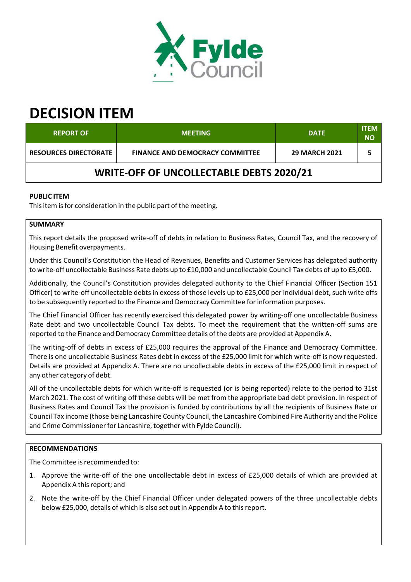

# **DECISION ITEM**

| <b>REPORT OF</b>                                | <b>MEETING</b>                         | <b>DATE</b>          | <b>ITEM</b><br><b>NO</b> |  |
|-------------------------------------------------|----------------------------------------|----------------------|--------------------------|--|
| <b>RESOURCES DIRECTORATE</b>                    | <b>FINANCE AND DEMOCRACY COMMITTEE</b> | <b>29 MARCH 2021</b> |                          |  |
| <b>WRITE-OFF OF UNCOLLECTABLE DEBTS 2020/21</b> |                                        |                      |                          |  |

## **PUBLIC ITEM**

This item is for consideration in the public part of the meeting.

## **SUMMARY**

This report details the proposed write‐off of debts in relation to Business Rates, Council Tax, and the recovery of Housing Benefit overpayments.

Under this Council's Constitution the Head of Revenues, Benefits and Customer Services has delegated authority to write-off uncollectable Business Rate debts up to £10,000 and uncollectable Council Tax debts of up to £5,000.

Additionally, the Council's Constitution provides delegated authority to the Chief Financial Officer (Section 151 Officer) to write-off uncollectable debts in excess of those levels up to £25,000 per individual debt, such write offs to be subsequently reported to the Finance and Democracy Committee for information purposes.

The Chief Financial Officer has recently exercised this delegated power by writing‐off one uncollectable Business Rate debt and two uncollectable Council Tax debts. To meet the requirement that the written-off sums are reported to the Finance and Democracy Committee details of the debts are provided at Appendix A.

The writing-off of debts in excess of £25,000 requires the approval of the Finance and Democracy Committee. There is one uncollectable Business Rates debt in excess of the £25,000 limit for which write‐off is now requested. Details are provided at Appendix A. There are no uncollectable debts in excess of the £25,000 limit in respect of any other category of debt.

All of the uncollectable debts for which write‐off is requested (or is being reported) relate to the period to 31st March 2021. The cost of writing off these debts will be met from the appropriate bad debt provision. In respect of Business Rates and Council Tax the provision is funded by contributions by all the recipients of Business Rate or Council Tax income (those being Lancashire County Council, the Lancashire Combined Fire Authority and the Police and Crime Commissioner for Lancashire, together with Fylde Council).

## **RECOMMENDATIONS**

The Committee is recommended to:

- 1. Approve the write-off of the one uncollectable debt in excess of £25,000 details of which are provided at Appendix A this report; and
- 2. Note the write‐off by the Chief Financial Officer under delegated powers of the three uncollectable debts below £25,000, details of which is also set out in Appendix A to thisreport.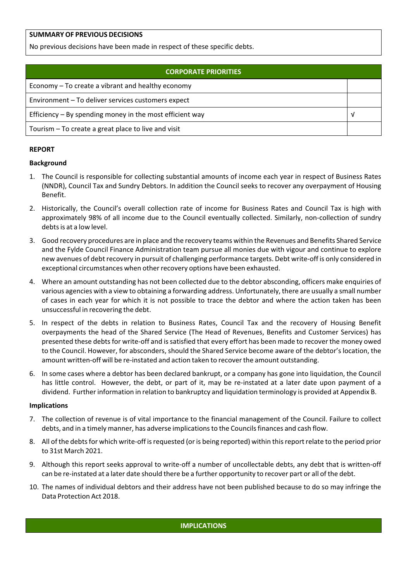## **SUMMARY OF PREVIOUS DECISIONS**

No previous decisions have been made in respect of these specific debts.

| <b>CORPORATE PRIORITIES</b>                                |  |  |
|------------------------------------------------------------|--|--|
| Economy – To create a vibrant and healthy economy          |  |  |
| Environment - To deliver services customers expect         |  |  |
| Efficiency $-$ By spending money in the most efficient way |  |  |
| Tourism – To create a great place to live and visit        |  |  |

#### **REPORT**

#### **Background**

- 1. The Council is responsible for collecting substantial amounts of income each year in respect of Business Rates (NNDR), Council Tax and Sundry Debtors. In addition the Council seeks to recover any overpayment of Housing Benefit.
- 2. Historically, the Council's overall collection rate of income for Business Rates and Council Tax is high with approximately 98% of all income due to the Council eventually collected. Similarly, non-collection of sundry debts is at a low level.
- 3. Good recovery procedures are in place and the recovery teams within the Revenues and Benefits Shared Service and the Fylde Council Finance Administration team pursue all monies due with vigour and continue to explore new avenues of debt recovery in pursuit of challenging performance targets. Debt write-off is only considered in exceptional circumstances when other recovery options have been exhausted.
- 4. Where an amount outstanding has not been collected due to the debtor absconding, officers make enquiries of various agencies with a view to obtaining a forwarding address. Unfortunately, there are usually a small number of cases in each year for which it is not possible to trace the debtor and where the action taken has been unsuccessful in recovering the debt.
- 5. In respect of the debts in relation to Business Rates, Council Tax and the recovery of Housing Benefit overpayments the head of the Shared Service (The Head of Revenues, Benefits and Customer Services) has presented these debts for write-off and is satisfied that every effort has been made to recover the money owed to the Council. However, for absconders, should the Shared Service become aware of the debtor's location, the amount written-off will be re-instated and action taken to recover the amount outstanding.
- 6. In some cases where a debtor has been declared bankrupt, or a company has gone into liquidation, the Council has little control. However, the debt, or part of it, may be re-instated at a later date upon payment of a dividend. Furtherinformation in relation to bankruptcy and liquidation terminology is provided at Appendix B.

#### **Implications**

- 7. The collection of revenue is of vital importance to the financial management of the Council. Failure to collect debts, and in a timely manner, has adverse implicationsto the Councilsfinances and cash flow.
- 8. All of the debts for which write-off is requested (or is being reported) within this report relate to the period prior to 31st March 2021.
- 9. Although this report seeks approval to write-off a number of uncollectable debts, any debt that is written-off can be re-instated at a later date should there be a further opportunity to recover part or all of the debt.
- 10. The names of individual debtors and their address have not been published because to do so may infringe the Data Protection Act 2018.

#### **IMPLICATIONS**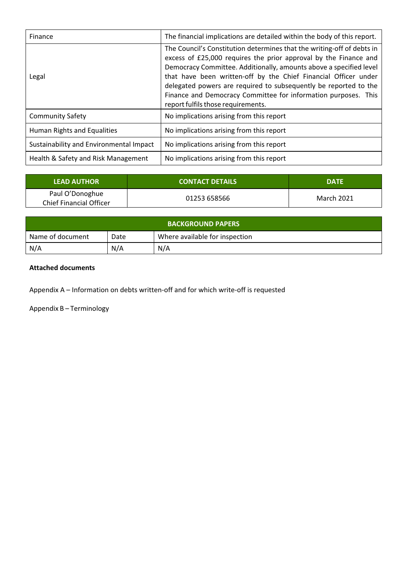| Finance                                 | The financial implications are detailed within the body of this report.                                                                                                                                                                                                                                                                                                                                                                                         |
|-----------------------------------------|-----------------------------------------------------------------------------------------------------------------------------------------------------------------------------------------------------------------------------------------------------------------------------------------------------------------------------------------------------------------------------------------------------------------------------------------------------------------|
| Legal                                   | The Council's Constitution determines that the writing-off of debts in<br>excess of £25,000 requires the prior approval by the Finance and<br>Democracy Committee. Additionally, amounts above a specified level<br>that have been written-off by the Chief Financial Officer under<br>delegated powers are required to subsequently be reported to the<br>Finance and Democracy Committee for information purposes. This<br>report fulfils those requirements. |
| <b>Community Safety</b>                 | No implications arising from this report                                                                                                                                                                                                                                                                                                                                                                                                                        |
| Human Rights and Equalities             | No implications arising from this report                                                                                                                                                                                                                                                                                                                                                                                                                        |
| Sustainability and Environmental Impact | No implications arising from this report                                                                                                                                                                                                                                                                                                                                                                                                                        |
| Health & Safety and Risk Management     | No implications arising from this report                                                                                                                                                                                                                                                                                                                                                                                                                        |

| <b>LEAD AUTHOR</b>                                | <b>CONTACT DETAILS</b> | <b>DATE</b> |
|---------------------------------------------------|------------------------|-------------|
| Paul O'Donoghue<br><b>Chief Financial Officer</b> | 01253 658566           | March 2021  |

| <b>BACKGROUND PAPERS</b> |      |                                |  |
|--------------------------|------|--------------------------------|--|
| Name of document         | Date | Where available for inspection |  |
| N/A                      | N/A  | N/A                            |  |

## **Attached documents**

Appendix A – Information on debts written‐off and for which write‐off is requested

Appendix B – Terminology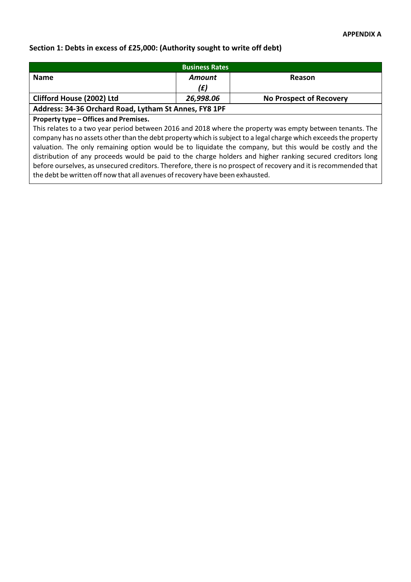## **Section 1: Debts in excess of £25,000: (Authority sought to write off debt)**

| <b>Business Rates</b>                                                           |        |               |
|---------------------------------------------------------------------------------|--------|---------------|
| <b>Name</b>                                                                     | Amount | <b>Reason</b> |
|                                                                                 | (£)    |               |
| <b>Clifford House (2002) Ltd</b><br><b>No Prospect of Recovery</b><br>26,998.06 |        |               |
| Address: 34-36 Orchard Road, Lytham St Annes, FY8 1PF                           |        |               |

## **Property type – Offices and Premises.**

This relates to a two year period between 2016 and 2018 where the property was empty between tenants. The company has no assets other than the debt property which is subject to a legal charge which exceeds the property valuation. The only remaining option would be to liquidate the company, but this would be costly and the distribution of any proceeds would be paid to the charge holders and higher ranking secured creditors long before ourselves, as unsecured creditors. Therefore, there is no prospect of recovery and it is recommended that the debt be written off now that all avenues of recovery have been exhausted.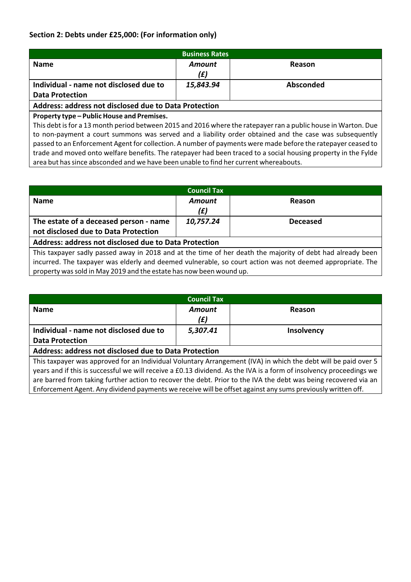## **Section 2: Debts under £25,000: (For information only)**

| <b>Business Rates</b>                                        |           |           |
|--------------------------------------------------------------|-----------|-----------|
| <b>Name</b>                                                  | Amount    | Reason    |
|                                                              | (£)       |           |
| Individual - name not disclosed due to                       | 15,843.94 | Absconded |
| <b>Data Protection</b>                                       |           |           |
| <b>Address: address not disclosed due to Data Protection</b> |           |           |

## **Property type – Public House and Premises.**

This debt isfor a 13 month period between 2015 and 2016 where the ratepayerran a public house in Warton. Due to non‐payment a court summons was served and a liability order obtained and the case was subsequently passed to an Enforcement Agent for collection. A number of payments were made before the ratepayer ceased to trade and moved onto welfare benefits. The ratepayer had been traced to a social housing property in the Fylde area but has since absconded and we have been unable to find her current whereabouts.

| <b>Council Tax</b>                                                                                         |           |                 |  |
|------------------------------------------------------------------------------------------------------------|-----------|-----------------|--|
| <b>Name</b>                                                                                                | Amount    | Reason          |  |
|                                                                                                            | (E)       |                 |  |
| The estate of a deceased person - name                                                                     | 10,757.24 | <b>Deceased</b> |  |
| not disclosed due to Data Protection                                                                       |           |                 |  |
| <b>Address: address not disclosed due to Data Protection</b>                                               |           |                 |  |
| This taxpayer sadly passed away in 2018 and at the time of her death the majority of debt had already been |           |                 |  |
| incurred. The taxpayer was elderly and deemed vulnerable, so court action was not deemed appropriate. The  |           |                 |  |
| property was sold in May 2019 and the estate has now been wound up.                                        |           |                 |  |

| <b>Council Tax</b>                                                                                                  |          |                   |  |
|---------------------------------------------------------------------------------------------------------------------|----------|-------------------|--|
| <b>Name</b>                                                                                                         | Amount   | Reason            |  |
|                                                                                                                     | (E)      |                   |  |
| Individual - name not disclosed due to                                                                              | 5,307.41 | <b>Insolvency</b> |  |
| <b>Data Protection</b>                                                                                              |          |                   |  |
| <b>Address: address not disclosed due to Data Protection</b>                                                        |          |                   |  |
| This taxpayer was approved for an Individual Voluntary Arrangement (IVA) in which the debt will be paid over 5      |          |                   |  |
| years and if this is successful we will receive a £0.13 dividend. As the IVA is a form of insolvency proceedings we |          |                   |  |
| are barred from taking further action to recover the debt. Prior to the IVA the debt was being recovered via an     |          |                   |  |
| Enforcement Agent. Any dividend payments we receive will be offset against any sums previously written off.         |          |                   |  |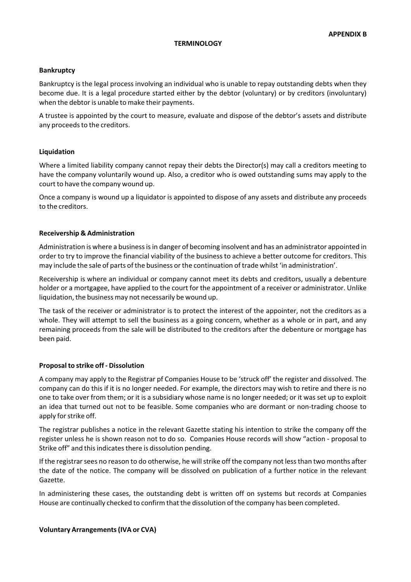#### **Bankruptcy**

Bankruptcy is the legal process involving an individual who is unable to repay outstanding debts when they become due. It is a legal procedure started either by the debtor (voluntary) or by creditors (involuntary) when the debtor is unable to make their payments.

A trustee is appointed by the court to measure, evaluate and dispose of the debtor's assets and distribute any proceeds to the creditors.

#### **Liquidation**

Where a limited liability company cannot repay their debts the Director(s) may call a creditors meeting to have the company voluntarily wound up. Also, a creditor who is owed outstanding sums may apply to the court to have the company wound up.

Once a company is wound up a liquidator is appointed to dispose of any assets and distribute any proceeds to the creditors.

#### **Receivership & Administration**

Administration is where a businessisin danger of becoming insolvent and has an administrator appointed in order to try to improve the financial viability of the business to achieve a better outcome for creditors. This may include the sale of parts of the business orthe continuation of trade whilst 'in administration'.

Receivership is where an individual or company cannot meet its debts and creditors, usually a debenture holder or a mortgagee, have applied to the court for the appointment of a receiver or administrator. Unlike liquidation, the business may not necessarily be wound up.

The task of the receiver or administrator is to protect the interest of the appointer, not the creditors as a whole. They will attempt to sell the business as a going concern, whether as a whole or in part, and any remaining proceeds from the sale will be distributed to the creditors after the debenture or mortgage has been paid.

#### **Proposalto strike off ‐ Dissolution**

A company may apply to the Registrar pf Companies House to be 'struck off' the register and dissolved. The company can do this if it is no longer needed. For example, the directors may wish to retire and there is no one to take over from them; or it is a subsidiary whose name is no longer needed; or it was set up to exploit an idea that turned out not to be feasible. Some companies who are dormant or non‐trading choose to apply for strike off.

The registrar publishes a notice in the relevant Gazette stating his intention to strike the company off the register unless he is shown reason not to do so. Companies House records will show "action ‐ proposal to Strike off" and this indicates there is dissolution pending.

If the registrar sees no reason to do otherwise, he will strike off the company not less than two months after the date of the notice. The company will be dissolved on publication of a further notice in the relevant Gazette.

In administering these cases, the outstanding debt is written off on systems but records at Companies House are continually checked to confirm that the dissolution of the company has been completed.

#### **Voluntary Arrangements(IVA or CVA)**